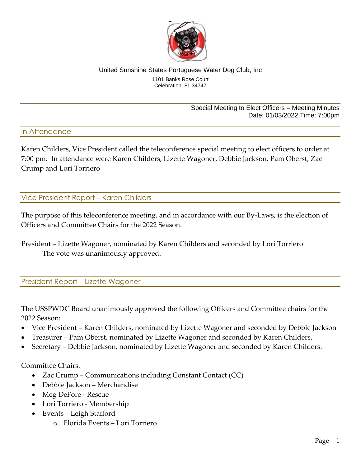

#### United Sunshine States Portuguese Water Dog Club, Inc 1101 Banks Rose Court Celebration, Fl. 34747

Special Meeting to Elect Officers – Meeting Minutes Date: 01/03/2022 Time: 7:00pm

#### In Attendance

Karen Childers, Vice President called the teleconference special meeting to elect officers to order at 7:00 pm. In attendance were Karen Childers, Lizette Wagoner, Debbie Jackson, Pam Oberst, Zac Crump and Lori Torriero

Vice President Report – Karen Childers

The purpose of this teleconference meeting, and in accordance with our By-Laws, is the election of Officers and Committee Chairs for the 2022 Season.

President – Lizette Wagoner, nominated by Karen Childers and seconded by Lori Torriero The vote was unanimously approved.

President Report – Lizette Wagoner

The USSPWDC Board unanimously approved the following Officers and Committee chairs for the 2022 Season:

- Vice President Karen Childers, nominated by Lizette Wagoner and seconded by Debbie Jackson
- Treasurer Pam Oberst, nominated by Lizette Wagoner and seconded by Karen Childers.
- Secretary Debbie Jackson, nominated by Lizette Wagoner and seconded by Karen Childers.

Committee Chairs:

- Zac Crump Communications including Constant Contact (CC)
- Debbie Jackson Merchandise
- Meg DeFore Rescue
- Lori Torriero Membership
- Events Leigh Stafford
	- o Florida Events Lori Torriero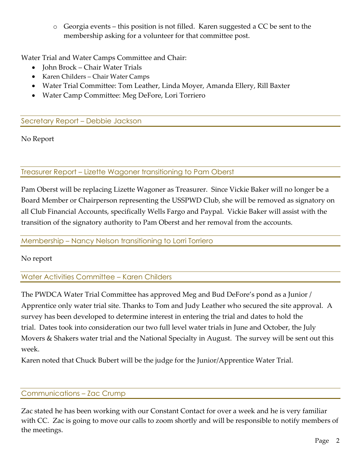o Georgia events – this position is not filled. Karen suggested a CC be sent to the membership asking for a volunteer for that committee post.

Water Trial and Water Camps Committee and Chair:

- John Brock Chair Water Trials
- Karen Childers Chair Water Camps
- Water Trial Committee: Tom Leather, Linda Moyer, Amanda Ellery, Rill Baxter
- Water Camp Committee: Meg DeFore, Lori Torriero

Secretary Report – Debbie Jackson

No Report

## Treasurer Report – Lizette Wagoner transitioning to Pam Oberst

Pam Oberst will be replacing Lizette Wagoner as Treasurer. Since Vickie Baker will no longer be a Board Member or Chairperson representing the USSPWD Club, she will be removed as signatory on all Club Financial Accounts, specifically Wells Fargo and Paypal. Vickie Baker will assist with the transition of the signatory authority to Pam Oberst and her removal from the accounts.

### Membership – Nancy Nelson transitioning to Lorri Torriero

No report

# Water Activities Committee – Karen Childers

The PWDCA Water Trial Committee has approved Meg and Bud DeFore's pond as a Junior / Apprentice only water trial site. Thanks to Tom and Judy Leather who secured the site approval. A survey has been developed to determine interest in entering the trial and dates to hold the trial. Dates took into consideration our two full level water trials in June and October, the July Movers & Shakers water trial and the National Specialty in August. The survey will be sent out this week.

Karen noted that Chuck Bubert will be the judge for the Junior/Apprentice Water Trial.

### Communications – Zac Crump

Zac stated he has been working with our Constant Contact for over a week and he is very familiar with CC. Zac is going to move our calls to zoom shortly and will be responsible to notify members of the meetings.